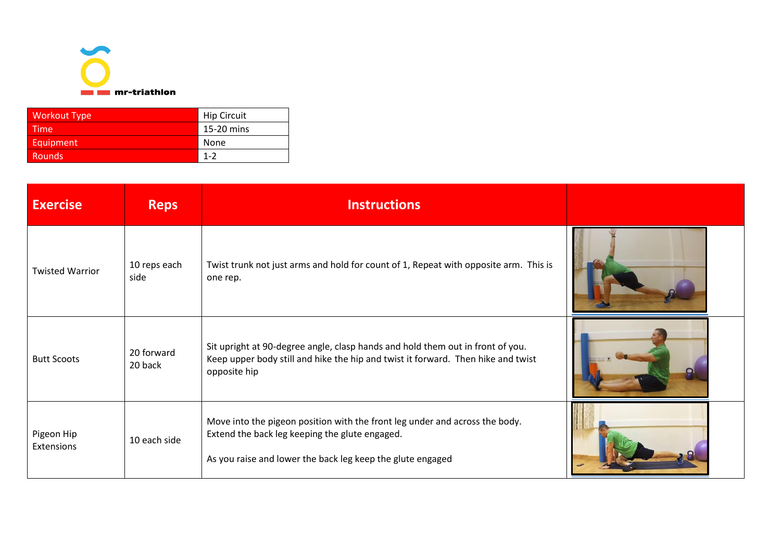

| <b>Workout Type</b> | <b>Hip Circuit</b> |
|---------------------|--------------------|
| Time                | 15-20 mins         |
| Equipment           | None               |
| Rounds              | $1 - 2$            |

| <b>Exercise</b>          | <b>Reps</b>           | <b>Instructions</b>                                                                                                                                                                         |  |
|--------------------------|-----------------------|---------------------------------------------------------------------------------------------------------------------------------------------------------------------------------------------|--|
| <b>Twisted Warrior</b>   | 10 reps each<br>side  | Twist trunk not just arms and hold for count of 1, Repeat with opposite arm. This is<br>one rep.                                                                                            |  |
| <b>Butt Scoots</b>       | 20 forward<br>20 back | Sit upright at 90-degree angle, clasp hands and hold them out in front of you.<br>Keep upper body still and hike the hip and twist it forward. Then hike and twist<br>opposite hip          |  |
| Pigeon Hip<br>Extensions | 10 each side          | Move into the pigeon position with the front leg under and across the body.<br>Extend the back leg keeping the glute engaged.<br>As you raise and lower the back leg keep the glute engaged |  |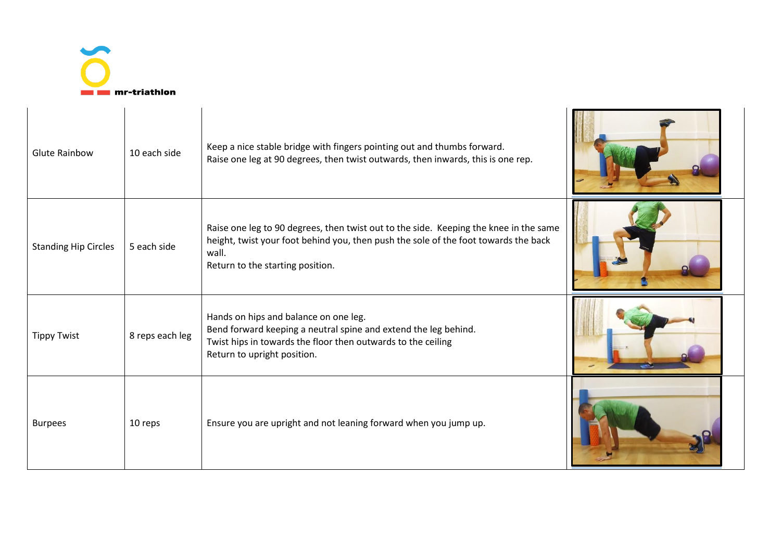

| <b>Glute Rainbow</b>        | 10 each side    | Keep a nice stable bridge with fingers pointing out and thumbs forward.<br>Raise one leg at 90 degrees, then twist outwards, then inwards, this is one rep.                                                               |  |
|-----------------------------|-----------------|---------------------------------------------------------------------------------------------------------------------------------------------------------------------------------------------------------------------------|--|
| <b>Standing Hip Circles</b> | 5 each side     | Raise one leg to 90 degrees, then twist out to the side. Keeping the knee in the same<br>height, twist your foot behind you, then push the sole of the foot towards the back<br>wall.<br>Return to the starting position. |  |
| <b>Tippy Twist</b>          | 8 reps each leg | Hands on hips and balance on one leg.<br>Bend forward keeping a neutral spine and extend the leg behind.<br>Twist hips in towards the floor then outwards to the ceiling<br>Return to upright position.                   |  |
| <b>Burpees</b>              | 10 reps         | Ensure you are upright and not leaning forward when you jump up.                                                                                                                                                          |  |